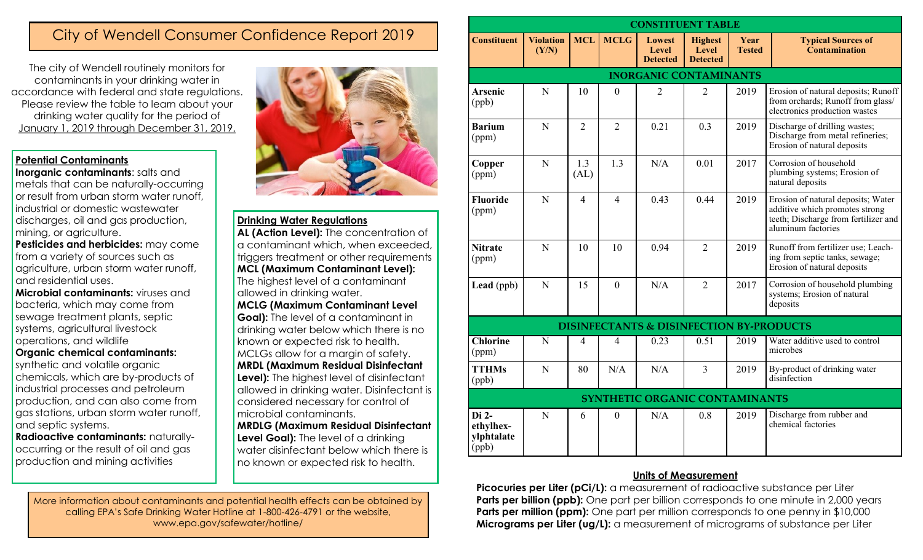# City of Wendell Consumer Confidence Report 2019

The city of Wendell routinely monitors for contaminants in your drinking water in accordance with federal and state regulations. Please review the table to learn about your drinking water quality for the period of January 1, 2019 through December 31, 2019.

# **Potential Contaminants**

**Inorganic contaminants:** salts and metals that can be naturally-occurring or result from urban storm water runoff, industrial or domestic wastewater discharges, oil and gas production, mining, or agriculture.

**Pesticides and herbicides:** may come from a variety of sources such as agriculture, urban storm water runoff, and residential uses.

**Microbial contaminants:** viruses and bacteria, which may come from sewage treatment plants, septic systems, agricultural livestock operations, and wildlife

### **Organic chemical contaminants:**

synthetic and volatile organic chemicals, which are by-products of industrial processes and petroleum production, and can also come from gas stations, urban storm water runoff, and septic systems.

**Radioactive contaminants:** naturallyoccurring or the result of oil and gas production and mining activities



# **Drinking Water Regulations**

AL (Action Level): The concentration of a contaminant which, when exceeded, triggers treatment or other requirements **MCL (Maximum Contaminant Level):**  The highest level of a contaminant allowed in drinking water. **MCLG (Maximum Contaminant Level Goal):** The level of a contaminant in drinking water below which there is no known or expected risk to health. MCLGs allow for a margin of safety. **MRDL (Maximum Residual Disinfectant Level):** The highest level of disinfectant allowed in drinking water. Disinfectant is considered necessary for control of microbial contaminants. **MRDLG (Maximum Residual Disinfectant Level Goal):** The level of a drinking water disinfectant below which there is

no known or expected risk to health.

More information about contaminants and potential health effects can be obtained by calling EPA's Safe Drinking Water Hotline at 1-800-426-4791 or the website, www.epa.gov/safewater/hotline/

| <b>CONSTITUENT TABLE</b>                  |                           |                |                  |                                                     |                                            |                       |                                                                                                                                    |
|-------------------------------------------|---------------------------|----------------|------------------|-----------------------------------------------------|--------------------------------------------|-----------------------|------------------------------------------------------------------------------------------------------------------------------------|
| <b>Constituent</b>                        | <b>Violation</b><br>(Y/N) | <b>MCL</b>     | <b>MCLG</b>      | <b>Lowest</b><br>Level<br><b>Detected</b>           | <b>Highest</b><br>Level<br><b>Detected</b> | Year<br><b>Tested</b> | <b>Typical Sources of</b><br>Contamination                                                                                         |
|                                           |                           |                |                  | <b>INORGANIC CONTAMINANTS</b>                       |                                            |                       |                                                                                                                                    |
| <b>Arsenic</b><br>(ppb)                   | N                         | 10             | $\theta$         | $\overline{2}$                                      | $\overline{2}$                             | 2019                  | Erosion of natural deposits; Runoff<br>from orchards; Runoff from glass/<br>electronics production wastes                          |
| <b>Barium</b><br>(ppm)                    | N                         | $\overline{2}$ | $\overline{2}$   | 0.21                                                | 0.3                                        | 2019                  | Discharge of drilling wastes;<br>Discharge from metal refineries;<br>Erosion of natural deposits                                   |
| Copper<br>(ppm)                           | N                         | 1.3<br>(AL)    | 1.3              | N/A                                                 | 0.01                                       | 2017                  | Corrosion of household<br>plumbing systems; Erosion of<br>natural deposits                                                         |
| <b>Fluoride</b><br>(ppm)                  | N                         | $\overline{4}$ | $\overline{4}$   | 0.43                                                | 0.44                                       | 2019                  | Erosion of natural deposits; Water<br>additive which promotes strong<br>teeth; Discharge from fertilizer and<br>aluminum factories |
| <b>Nitrate</b><br>(ppm)                   | N                         | 10             | 10               | 0.94                                                | $\overline{2}$                             | 2019                  | Runoff from fertilizer use; Leach-<br>ing from septic tanks, sewage;<br>Erosion of natural deposits                                |
| Lead (ppb)                                | N                         | 15             | $\mathbf{0}$     | N/A                                                 | $\overline{2}$                             | 2017                  | Corrosion of household plumbing<br>systems; Erosion of natural<br>deposits                                                         |
|                                           |                           |                |                  | <b>DISINFECTANTS &amp; DISINFECTION BY-PRODUCTS</b> |                                            |                       |                                                                                                                                    |
| <b>Chlorine</b><br>(ppm)                  | N                         | 4              | 4                | 0.23                                                | 0.51                                       | 2019                  | Water additive used to control<br>microbes                                                                                         |
| <b>TTHMs</b><br>(ppb)                     | $\mathbf N$               | 80             | N/A              | N/A                                                 | $\overline{3}$                             | 2019                  | By-product of drinking water<br>disinfection                                                                                       |
|                                           |                           |                |                  | SYNTHETIC ORGANIC CONTAMINANTS                      |                                            |                       |                                                                                                                                    |
| Di 2-<br>ethylhex-<br>ylphtalate<br>(ppb) | $\mathbf N$               | 6              | $\boldsymbol{0}$ | N/A                                                 | 0.8                                        | 2019                  | Discharge from rubber and<br>chemical factories                                                                                    |

# **Units of Measurement**

**Picocuries per Liter (pCi/L):** a measurement of radioactive substance per Liter **Parts per billion (ppb):** One part per billion corresponds to one minute in 2,000 years **Parts per million (ppm):** One part per million corresponds to one penny in \$10,000 **Micrograms per Liter (ug/L):** a measurement of micrograms of substance per Liter